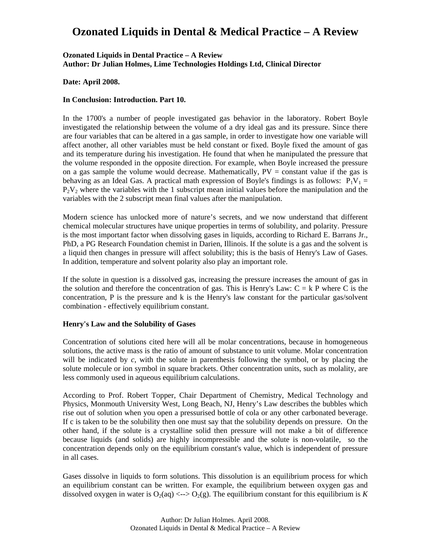#### **Ozonated Liquids in Dental Practice – A Review Author: Dr Julian Holmes, Lime Technologies Holdings Ltd, Clinical Director**

#### **Date: April 2008.**

#### **In Conclusion: Introduction. Part 10.**

In the 1700's a number of people investigated gas behavior in the laboratory. Robert Boyle investigated the relationship between the volume of a dry ideal gas and its pressure. Since there are four variables that can be altered in a gas sample, in order to investigate how one variable will affect another, all other variables must be held constant or fixed. Boyle fixed the amount of gas and its temperature during his investigation. He found that when he manipulated the pressure that the volume responded in the opposite direction. For example, when Boyle increased the pressure on a gas sample the volume would decrease. Mathematically,  $PV = constant$  value if the gas is behaving as an Ideal Gas. A practical math expression of Boyle's findings is as follows:  $P_1V_1 =$  $P_2V_2$  where the variables with the 1 subscript mean initial values before the manipulation and the variables with the 2 subscript mean final values after the manipulation.

Modern science has unlocked more of nature's secrets, and we now understand that different chemical molecular structures have unique properties in terms of solubility, and polarity. Pressure is the most important factor when dissolving gases in liquids, according to Richard E. Barrans Jr., PhD, a PG Research Foundation chemist in Darien, Illinois. If the solute is a gas and the solvent is a liquid then changes in pressure will affect solubility; this is the basis of Henry's Law of Gases. In addition, temperature and solvent polarity also play an important role.

If the solute in question is a dissolved gas, increasing the pressure increases the amount of gas in the solution and therefore the concentration of gas. This is Henry's Law:  $C = k$  P where C is the concentration,  $P$  is the pressure and  $k$  is the Henry's law constant for the particular gas/solvent combination - effectively equilibrium constant.

#### **Henry's Law and the Solubility of Gases**

Concentration of solutions cited here will all be molar concentrations, because in homogeneous solutions, the active mass is the ratio of amount of substance to unit volume. Molar concentration will be indicated by *c*, with the solute in parenthesis following the symbol, or by placing the solute molecule or ion symbol in square brackets. Other concentration units, such as molality, are less commonly used in aqueous equilibrium calculations.

According to Prof. Robert Topper, Chair Department of Chemistry, Medical Technology and Physics, Monmouth University West, Long Beach, NJ, Henry's Law describes the bubbles which rise out of solution when you open a pressurised bottle of cola or any other carbonated beverage. If c is taken to be the solubility then one must say that the solubility depends on pressure. On the other hand, if the solute is a crystalline solid then pressure will not make a bit of difference because liquids (and solids) are highly incompressible and the solute is non-volatile, so the concentration depends only on the equilibrium constant's value, which is independent of pressure in all cases.

Gases dissolve in liquids to form solutions. This dissolution is an equilibrium process for which an equilibrium constant can be written. For example, the equilibrium between oxygen gas and dissolved oxygen in water is  $O_2(aq) \ll -Q_2(g)$ . The equilibrium constant for this equilibrium is K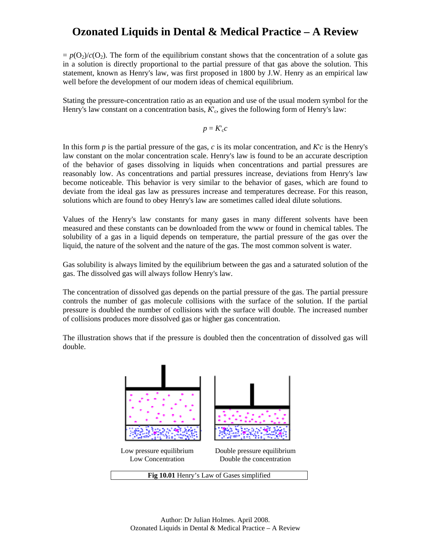$= p(O_2)/c(O_2)$ . The form of the equilibrium constant shows that the concentration of a solute gas in a solution is directly proportional to the partial pressure of that gas above the solution. This statement, known as Henry's law, was first proposed in 1800 by J.W. Henry as an empirical law well before the development of our modern ideas of chemical equilibrium.

Stating the pressure-concentration ratio as an equation and use of the usual modern symbol for the Henry's law constant on a concentration basis,  $K_c$ , gives the following form of Henry's law:

$$
p=K_{\rm c}c
$$

In this form  $p$  is the partial pressure of the gas,  $c$  is its molar concentration, and  $Kc$  is the Henry's law constant on the molar concentration scale. Henry's law is found to be an accurate description of the behavior of gases dissolving in liquids when concentrations and partial pressures are reasonably low. As concentrations and partial pressures increase, deviations from Henry's law become noticeable. This behavior is very similar to the behavior of gases, which are found to deviate from the ideal gas law as pressures increase and temperatures decrease. For this reason, solutions which are found to obey Henry's law are sometimes called ideal dilute solutions.

Values of the Henry's law constants for many gases in many different solvents have been measured and these constants can be downloaded from the www or found in chemical tables. The solubility of a gas in a liquid depends on temperature, the partial pressure of the gas over the liquid, the nature of the solvent and the nature of the gas. The most common solvent is water.

Gas solubility is always limited by the equilibrium between the gas and a saturated solution of the gas. The dissolved gas will always follow Henry's law.

The concentration of dissolved gas depends on the partial pressure of the gas. The partial pressure controls the number of gas molecule collisions with the surface of the solution. If the partial pressure is doubled the number of collisions with the surface will double. The increased number of collisions produces more dissolved gas or higher gas concentration.

The illustration shows that if the pressure is doubled then the concentration of dissolved gas will double.

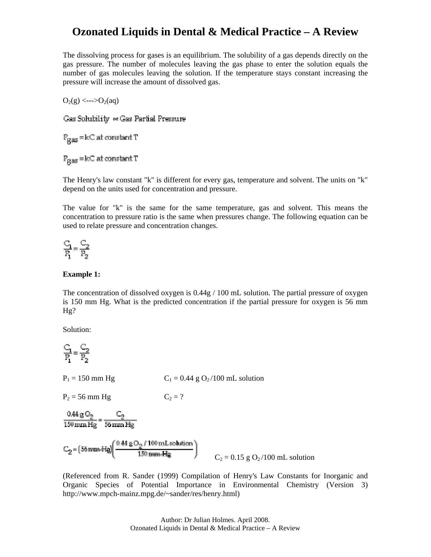The dissolving process for gases is an equilibrium. The solubility of a gas depends directly on the gas pressure. The number of molecules leaving the gas phase to enter the solution equals the number of gas molecules leaving the solution. If the temperature stays constant increasing the pressure will increase the amount of dissolved gas.

 $O_2(g) \leq -\frac{1}{2}O_2(aq)$ 

Gas Solubility << Gas Partial Pressure

 $P_{\alpha\alpha\beta}$  = kC at constant T

 $P_{\alpha\alpha\beta}$  = kC at constant T

The Henry's law constant "k" is different for every gas, temperature and solvent. The units on "k" depend on the units used for concentration and pressure.

The value for "k" is the same for the same temperature, gas and solvent. This means the concentration to pressure ratio is the same when pressures change. The following equation can be used to relate pressure and concentration changes.

$$
\frac{C_1}{P_1} = \frac{C_2}{P_2}
$$

#### **Example 1:**

The concentration of dissolved oxygen is 0.44g / 100 mL solution. The partial pressure of oxygen is 150 mm Hg. What is the predicted concentration if the partial pressure for oxygen is 56 mm Hg?

Solution:

$$
\frac{C_1}{P_1} = \frac{C_2}{P_2}
$$

 $P_1 = 150$  mm Hg $C_1 = 0.44$  g O<sub>2</sub>/100 mL solution

 $P_2 = 56$  mm Hg  $C_2 = ?$ 

 $\frac{0.44 \text{ g O}_2}{150 \text{ mm Hg}} = \frac{C_2}{56 \text{ mm Hg}}$ 

 $C_2 = (56 \text{ mm-Hg}) \left( \frac{0.44 \text{ g O}_2 / 100 \text{ mL solution}}{150 \text{ mm-Hg}} \right)$ <br> $C_2 = 0.15 \text{ g O}_2 / 100 \text{ mL solution}$ 

(Referenced from R. Sander (1999) Compilation of Henry's Law Constants for Inorganic and Organic Species of Potential Importance in Environmental Chemistry (Version 3) http://www.mpch-mainz.mpg.de/~sander/res/henry.html)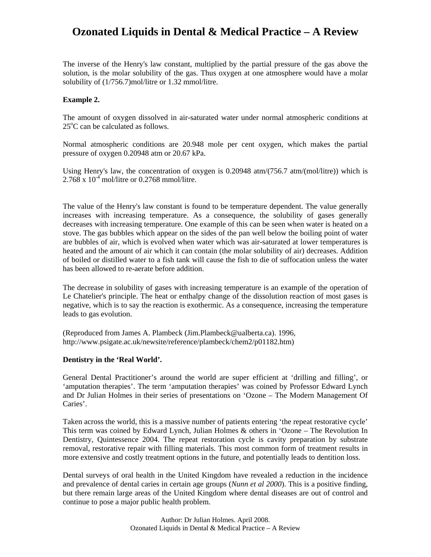The inverse of the Henry's law constant, multiplied by the partial pressure of the gas above the solution, is the molar solubility of the gas. Thus oxygen at one atmosphere would have a molar solubility of  $(1/756.7)$ mol/litre or 1.32 mmol/litre.

### **xample 2. E**

The amount of oxygen dissolved in air-saturated water under normal atmospheric conditions at  $25^{\circ}$ C can be calculated as follows.

Normal atmospheric conditions are 20.948 mole per cent oxygen, which makes the partial pressure of oxygen 0.20948 atm or 20.67 kPa.

Using Henry's law, the concentration of oxygen is  $0.20948$  atm/ $(756.7$  atm/ $(mol/litre))$  which is  $2.768 \times 10^{-4}$  mol/litre or 0.2768 mmol/litre.

of boiled or distilled water to a fish tank will cause the fish to die of suffocation unless the water has been allowed to re-aerate before addition. The value of the Henry's law constant is found to be temperature dependent. The value generally increases with increasing temperature. As a consequence, the solubility of gases generally decreases with increasing temperature. One example of this can be seen when water is heated on a stove. The gas bubbles which appear on the sides of the pan well below the boiling point of water are bubbles of air, which is evolved when water which was air-saturated at lower temperatures is heated and the amount of air which it can contain (the molar solubility of air) decreases. Addition

negative, which is to say the reaction is exothermic. As a consequence, increasing the temperature leads to gas evolution. The decrease in solubility of gases with increasing temperature is an example of the operation of Le Chatelier's principle. The heat or enthalpy change of the dissolution reaction of most gases is

ttp://www.psigate.ac.uk/newsite/reference/plambeck/chem2/p01182.htm) h (Reproduced from James A. Plambeck (Jim.Plambeck@ualberta.ca). 1996,

#### Dentistry in the 'Real World'.

and Dr Julian Holmes in their series of presentations on 'Ozone - The Modern Management Of Caries'. General Dental Practitioner's around the world are super efficient at 'drilling and filling', or 'amputation therapies'. The term 'amputation therapies' was coined by Professor Edward Lynch

more extensive and costly treatment options in the future, and potentially leads to dentition loss. Taken across the world, this is a massive number of patients entering 'the repeat restorative cycle' This term was coined by Edward Lynch, Julian Holmes & others in 'Ozone – The Revolution In Dentistry, Quintessence 2004. The repeat restoration cycle is cavity preparation by substrate removal, restorative repair with filling materials. This most common form of treatment results in

but there remain large areas of the United Kingdom where dental diseases are out of control and continue to pose a major public health problem. Dental surveys of oral health in the United Kingdom have revealed a reduction in the incidence and prevalence of dental caries in certain age groups (*Nunn et al 2000*). This is a positive finding,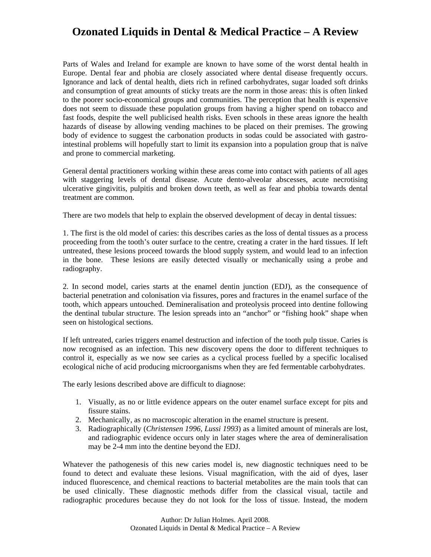Parts of Wales and Ireland for example are known to have some of the worst dental health in Europe. Dental fear and phobia are closely associated where dental disease frequently occurs. Ignorance and lack of dental health, diets rich in refined carbohydrates, sugar loaded soft drinks and consumption of great amounts of sticky treats are the norm in those areas: this is often linked to the poorer socio-economical groups and communities. The perception that health is expensive does not seem to dissuade these population groups from having a higher spend on tobacco and fast foods, despite the well publicised health risks. Even schools in these areas ignore the health hazards of disease by allowing vending machines to be placed on their premises. The growing body of evidence to suggest the carbonation products in sodas could be associated with gastrointestinal problems will hopefully start to limit its expansion into a population group that is naïve and prone to commercial marketing.

ulcerative gingivitis, pulpitis and broken down teeth, as well as fear and phobia towards dental treatment are common. General dental practitioners working within these areas come into contact with patients of all ages with staggering levels of dental disease. Acute dento-alveolar abscesses, acute necrotising

There are two models that help to explain the observed development of decay in dental tissues:

in the bone. These lesions are easily detected visually or mechanically using a probe and radiography. 1. The first is the old model of caries: this describes caries as the loss of dental tissues as a process proceeding from the tooth's outer surface to the centre, creating a crater in the hard tissues. If left untreated, these lesions proceed towards the blood supply system, and would lead to an infection

the dentinal tubular structure. The lesion spreads into an "anchor" or "fishing hook" shape when seen on histological sections. 2. In second model, caries starts at the enamel dentin junction (EDJ), as the consequence of bacterial penetration and colonisation via fissures, pores and fractures in the enamel surface of the tooth, which appears untouched. Demineralisation and proteolysis proceed into dentine following

ecological niche of acid producing microorganisms when they are fed fermentable carbohydrates. If left untreated, caries triggers enamel destruction and infection of the tooth pulp tissue. Caries is now recognised as an infection. This new discovery opens the door to different techniques to control it, especially as we now see caries as a cyclical process fuelled by a specific localised

The early lesions described above are difficult to diagnose:

- 1. Visually, as no or little evidence appears on the outer enamel surface except for pits and fissure stains.
- 2. Mechanically, as no macroscopic alteration in the enamel structure is present.
- 3. Radiographically (*Christensen 1996, Lussi 1993*) as a limited amount of minerals are lost, and radiographic evidence occurs only in later stages where the area of demineralisation may be 2-4 mm into the dentine beyond the EDJ.

Whatever the pathogenesis of this new caries model is, new diagnostic techniques need to be found to detect and evaluate these lesions. Visual magnification, with the aid of dyes, laser induced fluorescence, and chemical reactions to bacterial metabolites are the main tools that can be used clinically. These diagnostic methods differ from the classical visual, tactile and radiographic procedures because they do not look for the loss of tissue. Instead, the modern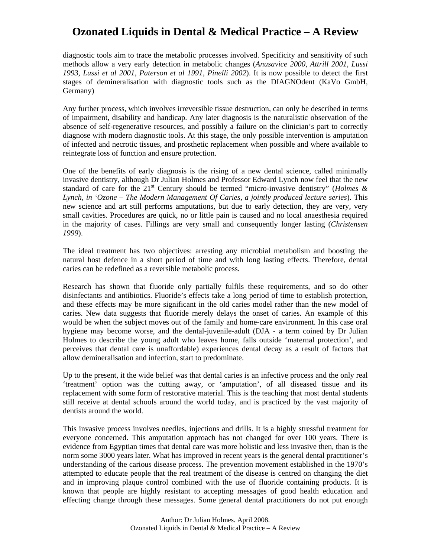diagnostic tools aim to trace the metabolic processes involved. Specificity and sensitivity of such methods allow a very early detection in metabolic changes (*Anusavice 2000, Attrill 2001, Lussi 1993, Lussi et al 2001, Paterson et al 1991, Pinelli 2002*). It is now possible to detect the first stages of demineralisation with diagnostic tools such as the DIAGNOdent (KaVo GmbH, Germany)

of infected and necrotic tissues, and prosthetic replacement when possible and where available to reintegrate loss of function and ensure protection. Any further process, which involves irreversible tissue destruction, can only be described in terms of impairment, disability and handicap. Any later diagnosis is the naturalistic observation of the absence of self-regenerative resources, and possibly a failure on the clinician's part to correctly diagnose with modern diagnostic tools. At this stage, the only possible intervention is amputation

in the majority of cases. Fillings are very small and consequently longer lasting (*Christensen 999*). *1* One of the benefits of early diagnosis is the rising of a new dental science, called minimally invasive dentistry, although Dr Julian Holmes and Professor Edward Lynch now feel that the new standard of care for the  $21<sup>st</sup>$  Century should be termed "micro-invasive dentistry" (*Holmes*  $\&$ *Lynch, in 'Ozone – The Modern Management Of Caries, a jointly produced lecture series*). This new science and art still performs amputations, but due to early detection, they are very, very small cavities. Procedures are quick, no or little pain is caused and no local anaesthesia required

natural host defence in a short period of time and with long lasting effects. Therefore, dental caries can be redefined as a reversible metabolic process. The ideal treatment has two objectives: arresting any microbial metabolism and boosting the

perceives that dental care is unaffordable) experiences dental decay as a result of factors that allow demineralisation and infection, start to predominate. Research has shown that fluoride only partially fulfils these requirements, and so do other disinfectants and antibiotics. Fluoride's effects take a long period of time to establish protection, and these effects may be more significant in the old caries model rather than the new model of caries. New data suggests that fluoride merely delays the onset of caries. An example of this would be when the subject moves out of the family and home-care environment. In this case oral hygiene may become worse, and the dental-juvenile-adult (DJA - a term coined by Dr Julian Holmes to describe the young adult who leaves home, falls outside 'maternal protection', and

still receive at dental schools around the world today, and is practiced by the vast majority of dentists around the world. Up to the present, it the wide belief was that dental caries is an infective process and the only real 'treatment' option was the cutting away, or 'amputation', of all diseased tissue and its replacement with some form of restorative material. This is the teaching that most dental students

This invasive process involves needles, injections and drills. It is a highly stressful treatment for everyone concerned. This amputation approach has not changed for over 100 years. There is evidence from Egyptian times that dental care was more holistic and less invasive then, than is the norm some 3000 years later. What has improved in recent years is the general dental practitioner's understanding of the carious disease process. The prevention movement established in the 1970's attempted to educate people that the real treatment of the disease is centred on changing the diet and in improving plaque control combined with the use of fluoride containing products. It is known that people are highly resistant to accepting messages of good health education and effecting change through these messages. Some general dental practitioners do not put enough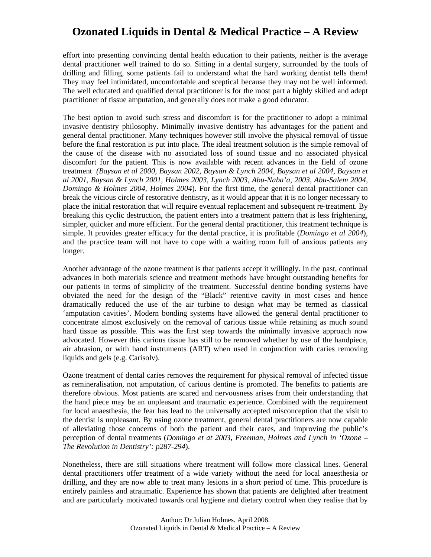effort into presenting convincing dental health education to their patients, neither is the average dental practitioner well trained to do so. Sitting in a dental surgery, surrounded by the tools of drilling and filling, some patients fail to understand what the hard working dentist tells them! They may feel intimidated, uncomfortable and sceptical because they may not be well informed. The well educated and qualified dental practitioner is for the most part a highly skilled and adept practitioner of tissue amputation, and generally does not make a good educator.

and the practice team will not have to cope with a waiting room full of anxious patients any longer. The best option to avoid such stress and discomfort is for the practitioner to adopt a minimal invasive dentistry philosophy. Minimally invasive dentistry has advantages for the patient and general dental practitioner. Many techniques however still involve the physical removal of tissue before the final restoration is put into place. The ideal treatment solution is the simple removal of the cause of the disease with no associated loss of sound tissue and no associated physical discomfort for the patient. This is now available with recent advances in the field of ozone treatment *(Baysan et al 2000, Baysan 2002, Baysan & Lynch 2004, Baysan et al 2004, Baysan et al 2001, Baysan & Lynch 2001, Holmes 2003, Lynch 2003, Abu-Naba'a, 2003, Abu-Salem 2004, Domingo & Holmes 2004, Holmes 2004*). For the first time, the general dental practitioner can break the vicious circle of restorative dentistry, as it would appear that it is no longer necessary to place the initial restoration that will require eventual replacement and subsequent re-treatment. By breaking this cyclic destruction, the patient enters into a treatment pattern that is less frightening, simpler, quicker and more efficient. For the general dental practitioner, this treatment technique is simple. It provides greater efficacy for the dental practice, it is profitable (*Domingo et al 2004*),

air abrasion, or with hand instruments (ART) when used in conjunction with caries removing liquids and gels (e.g. Carisolv). Another advantage of the ozone treatment is that patients accept it willingly. In the past, continual advances in both materials science and treatment methods have brought outstanding benefits for our patients in terms of simplicity of the treatment. Successful dentine bonding systems have obviated the need for the design of the "Black" retentive cavity in most cases and hence dramatically reduced the use of the air turbine to design what may be termed as classical 'amputation cavities'. Modern bonding systems have allowed the general dental practitioner to concentrate almost exclusively on the removal of carious tissue while retaining as much sound hard tissue as possible. This was the first step towards the minimally invasive approach now advocated. However this carious tissue has still to be removed whether by use of the handpiece,

perception of dental treatments (*Domingo et at 2003*, *Freeman*, *Holmes and Lynch in 'Ozone – Fhe Revolution in Dentistry': p287-294*). Ozone treatment of dental caries removes the requirement for physical removal of infected tissue as remineralisation, not amputation, of carious dentine is promoted. The benefits to patients are therefore obvious. Most patients are scared and nervousness arises from their understanding that the hand piece may be an unpleasant and traumatic experience. Combined with the requirement for local anaesthesia, the fear has lead to the universally accepted misconception that the visit to the dentist is unpleasant. By using ozone treatment, general dental practitioners are now capable of alleviating those concerns of both the patient and their cares, and improving the public's

and are particularly motivated towards oral hygiene and dietary control when they realise that by Nonetheless, there are still situations where treatment will follow more classical lines. General dental practitioners offer treatment of a wide variety without the need for local anaesthesia or drilling, and they are now able to treat many lesions in a short period of time. This procedure is entirely painless and atraumatic. Experience has shown that patients are delighted after treatment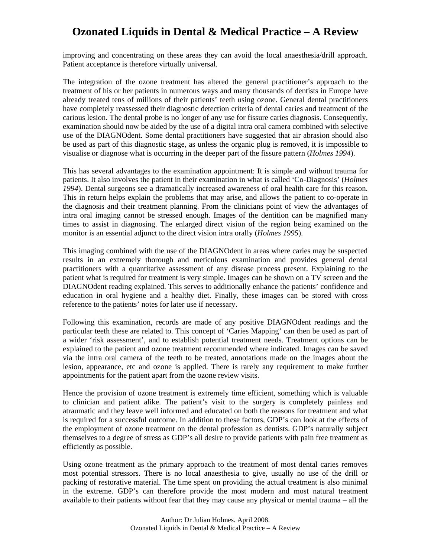improving and concentrating on these areas they can avoid the local anaesthesia/drill approach. Patient acceptance is therefore virtually universal.

The integration of the ozone treatment has altered the general practitioner's approach to the treatment of his or her patients in numerous ways and many thousands of dentists in Europe have already treated tens of millions of their patients' teeth using ozone. General dental practitioners have completely reassessed their diagnostic detection criteria of dental caries and treatment of the carious lesion. The dental probe is no longer of any use for fissure caries diagnosis. Consequently, examination should now be aided by the use of a digital intra oral camera combined with selective use of the DIAGNOdent. Some dental practitioners have suggested that air abrasion should also be used as part of this diagnostic stage, as unless the organic plug is removed, it is impossible to visualise or diagnose what is occurring in the deeper part of the fissure pattern (*Holmes 1994*).

This has several advantages to the examination appointment: It is simple and without trauma for patients. It also involves the patient in their examination in what is called 'Co-Diagnosis' (*Holmes 1994*). Dental surgeons see a dramatically increased awareness of oral health care for this reason. This in return helps explain the problems that may arise, and allows the patient to co-operate in the diagnosis and their treatment planning. From the clinicians point of view the advantages of intra oral imaging cannot be stressed enough. Images of the dentition can be magnified many times to assist in diagnosing. The enlarged direct vision of the region being examined on the monitor is an essential adjunct to the direct vision intra orally (*Holmes 1995*).

This imaging combined with the use of the DIAGNOdent in areas where caries may be suspected results in an extremely thorough and meticulous examination and provides general dental practitioners with a quantitative assessment of any disease process present. Explaining to the patient what is required for treatment is very simple. Images can be shown on a TV screen and the DIAGNOdent reading explained. This serves to additionally enhance the patients' confidence and education in oral hygiene and a healthy diet. Finally, these images can be stored with cross reference to the patients' notes for later use if necessary.

Following this examination, records are made of any positive DIAGNOdent readings and the particular teeth these are related to. This concept of 'Caries Mapping' can then be used as part of a wider 'risk assessment', and to establish potential treatment needs. Treatment options can be explained to the patient and ozone treatment recommended where indicated. Images can be saved via the intra oral camera of the teeth to be treated, annotations made on the images about the lesion, appearance, etc and ozone is applied. There is rarely any requirement to make further appointments for the patient apart from the ozone review visits.

Hence the provision of ozone treatment is extremely time efficient, something which is valuable to clinician and patient alike. The patient's visit to the surgery is completely painless and atraumatic and they leave well informed and educated on both the reasons for treatment and what is required for a successful outcome. In addition to these factors, GDP's can look at the effects of the employment of ozone treatment on the dental profession as dentists. GDP's naturally subject themselves to a degree of stress as GDP's all desire to provide patients with pain free treatment as efficiently as possible.

Using ozone treatment as the primary approach to the treatment of most dental caries removes most potential stressors. There is no local anaesthesia to give, usually no use of the drill or packing of restorative material. The time spent on providing the actual treatment is also minimal in the extreme. GDP's can therefore provide the most modern and most natural treatment available to their patients without fear that they may cause any physical or mental trauma – all the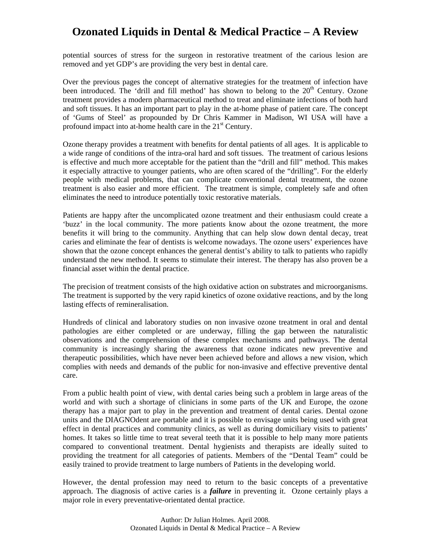potential sources of stress for the surgeon in restorative treatment of the carious lesion are removed and yet GDP's are providing the very best in dental care.

Over the previous pages the concept of alternative strategies for the treatment of infection have been introduced. The 'drill and fill method' has shown to belong to the  $20<sup>th</sup>$  Century. Ozone treatment provides a modern pharmaceutical method to treat and eliminate infections of both hard and soft tissues. It has an important part to play in the at-home phase of patient care. The concept of 'Gums of Steel' as propounded by Dr Chris Kammer in Madison, WI USA will have a profound impact into at-home health care in the 21<sup>st</sup> Century.

Ozone therapy provides a treatment with benefits for dental patients of all ages. It is applicable to a wide range of conditions of the intra-oral hard and soft tissues. The treatment of carious lesions is effective and much more acceptable for the patient than the "drill and fill" method. This makes it especially attractive to younger patients, who are often scared of the "drilling". For the elderly people with medical problems, that can complicate conventional dental treatment, the ozone treatment is also easier and more efficient. The treatment is simple, completely safe and often eliminates the need to introduce potentially toxic restorative materials.

Patients are happy after the uncomplicated ozone treatment and their enthusiasm could create a 'buzz' in the local community. The more patients know about the ozone treatment, the more benefits it will bring to the community. Anything that can help slow down dental decay, treat caries and eliminate the fear of dentists is welcome nowadays. The ozone users' experiences have shown that the ozone concept enhances the general dentist's ability to talk to patients who rapidly understand the new method. It seems to stimulate their interest. The therapy has also proven be a financial asset within the dental practice.

The precision of treatment consists of the high oxidative action on substrates and microorganisms. The treatment is supported by the very rapid kinetics of ozone oxidative reactions, and by the long lasting effects of remineralisation.

Hundreds of clinical and laboratory studies on non invasive ozone treatment in oral and dental pathologies are either completed or are underway, filling the gap between the naturalistic observations and the comprehension of these complex mechanisms and pathways. The dental community is increasingly sharing the awareness that ozone indicates new preventive and therapeutic possibilities, which have never been achieved before and allows a new vision, which complies with needs and demands of the public for non-invasive and effective preventive dental care.

From a public health point of view, with dental caries being such a problem in large areas of the world and with such a shortage of clinicians in some parts of the UK and Europe, the ozone therapy has a major part to play in the prevention and treatment of dental caries. Dental ozone units and the DIAGNOdent are portable and it is possible to envisage units being used with great effect in dental practices and community clinics, as well as during domiciliary visits to patients' homes. It takes so little time to treat several teeth that it is possible to help many more patients compared to conventional treatment. Dental hygienists and therapists are ideally suited to providing the treatment for all categories of patients. Members of the "Dental Team" could be easily trained to provide treatment to large numbers of Patients in the developing world.

However, the dental profession may need to return to the basic concepts of a preventative approach. The diagnosis of active caries is a *failure* in preventing it. Ozone certainly plays a major role in every preventative-orientated dental practice.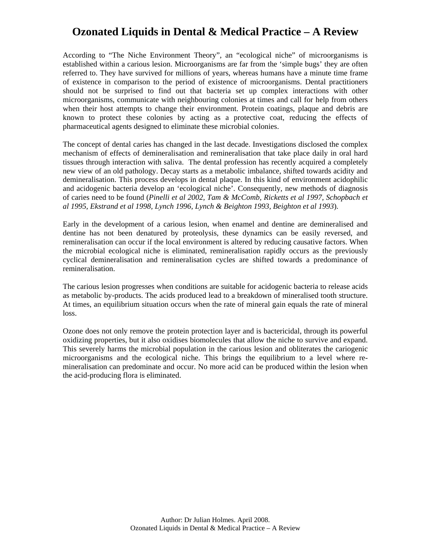According to "The Niche Environment Theory", an "ecological niche" of microorganisms is established within a carious lesion. Microorganisms are far from the 'simple bugs' they are often referred to. They have survived for millions of years, whereas humans have a minute time frame of existence in comparison to the period of existence of microorganisms. Dental practitioners should not be surprised to find out that bacteria set up complex interactions with other microorganisms, communicate with neighbouring colonies at times and call for help from others when their host attempts to change their environment. Protein coatings, plaque and debris are known to protect these colonies by acting as a protective coat, reducing the effects of pharmaceutical agents designed to eliminate these microbial colonies.

The concept of dental caries has changed in the last decade. Investigations disclosed the complex mechanism of effects of demineralisation and remineralisation that take place daily in oral hard tissues through interaction with saliva. The dental profession has recently acquired a completely new view of an old pathology. Decay starts as a metabolic imbalance, shifted towards acidity and demineralisation. This process develops in dental plaque. In this kind of environment acidophilic and acidogenic bacteria develop an 'ecological niche'. Consequently, new methods of diagnosis of caries need to be found (*Pinelli et al 2002, Tam & McComb, Ricketts et al 1997, Schopbach et al 1995, Ekstrand et al 1998, Lynch 1996, Lynch & Beighton 1993, Beighton et al 1993*).

Early in the development of a carious lesion, when enamel and dentine are demineralised and dentine has not been denatured by proteolysis, these dynamics can be easily reversed, and remineralisation can occur if the local environment is altered by reducing causative factors. When the microbial ecological niche is eliminated, remineralisation rapidly occurs as the previously cyclical demineralisation and remineralisation cycles are shifted towards a predominance of remineralisation.

The carious lesion progresses when conditions are suitable for acidogenic bacteria to release acids as metabolic by-products. The acids produced lead to a breakdown of mineralised tooth structure. At times, an equilibrium situation occurs when the rate of mineral gain equals the rate of mineral loss.

Ozone does not only remove the protein protection layer and is bactericidal, through its powerful oxidizing properties, but it also oxidises biomolecules that allow the niche to survive and expand. This severely harms the microbial population in the carious lesion and obliterates the cariogenic microorganisms and the ecological niche. This brings the equilibrium to a level where remineralisation can predominate and occur. No more acid can be produced within the lesion when the acid-producing flora is eliminated.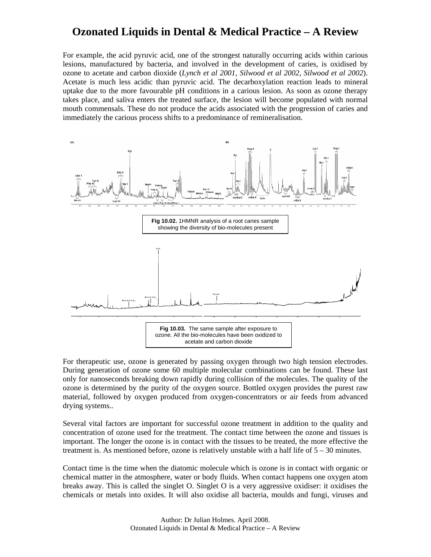For example, the acid pyruvic acid, one of the strongest naturally occurring acids within carious lesions, manufactured by bacteria, and involved in the development of caries, is oxidised by ozone to acetate and carbon dioxide (*Lynch et al 2001, Silwood et al 2002, Silwood et al 2002*). Acetate is much less acidic than pyruvic acid. The decarboxylation reaction leads to mineral uptake due to the more favourable pH conditions in a carious lesion. As soon as ozone therapy takes place, and saliva enters the treated surface, the lesion will become populated with normal mouth commensals. These do not produce the acids associated with the progression of caries and immediately the carious process shifts to a predominance of remineralisation.



For therapeutic use, ozone is generated by passing oxygen through two high tension electrodes. During generation of ozone some 60 multiple molecular combinations can be found. These last only for nanoseconds breaking down rapidly during collision of the molecules. The quality of the ozone is determined by the purity of the oxygen source. Bottled oxygen provides the purest raw material, followed by oxygen produced from oxygen-concentrators or air feeds from advanced drying systems..

Several vital factors are important for successful ozone treatment in addition to the quality and concentration of ozone used for the treatment. The contact time between the ozone and tissues is important. The longer the ozone is in contact with the tissues to be treated, the more effective the treatment is. As mentioned before, ozone is relatively unstable with a half life of  $5 - 30$  minutes.

Contact time is the time when the diatomic molecule which is ozone is in contact with organic or chemical matter in the atmosphere, water or body fluids. When contact happens one oxygen atom breaks away. This is called the singlet O. Singlet O is a very aggressive oxidiser: it oxidises the chemicals or metals into oxides. It will also oxidise all bacteria, moulds and fungi, viruses and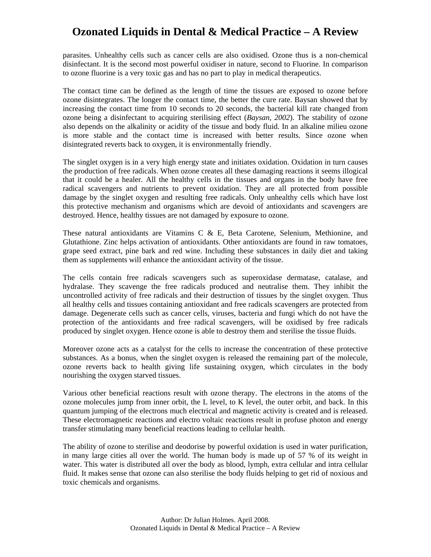parasites. Unhealthy cells such as cancer cells are also oxidised. Ozone thus is a non-chemical disinfectant. It is the second most powerful oxidiser in nature, second to Fluorine. In comparison to ozone fluorine is a very toxic gas and has no part to play in medical therapeutics.

The contact time can be defined as the length of time the tissues are exposed to ozone before ozone disintegrates. The longer the contact time, the better the cure rate. Baysan showed that by increasing the contact time from 10 seconds to 20 seconds, the bacterial kill rate changed from ozone being a disinfectant to acquiring sterilising effect (*Baysan, 2002*). The stability of ozone also depends on the alkalinity or acidity of the tissue and body fluid. In an alkaline milieu ozone is more stable and the contact time is increased with better results. Since ozone when disintegrated reverts back to oxygen, it is environmentally friendly.

The singlet oxygen is in a very high energy state and initiates oxidation. Oxidation in turn causes the production of free radicals. When ozone creates all these damaging reactions it seems illogical that it could be a healer. All the healthy cells in the tissues and organs in the body have free radical scavengers and nutrients to prevent oxidation. They are all protected from possible damage by the singlet oxygen and resulting free radicals. Only unhealthy cells which have lost this protective mechanism and organisms which are devoid of antioxidants and scavengers are destroyed. Hence, healthy tissues are not damaged by exposure to ozone.

These natural antioxidants are Vitamins C & E, Beta Carotene, Selenium, Methionine, and Glutathione. Zinc helps activation of antioxidants. Other antioxidants are found in raw tomatoes, grape seed extract, pine bark and red wine. Including these substances in daily diet and taking them as supplements will enhance the antioxidant activity of the tissue.

The cells contain free radicals scavengers such as superoxidase dermatase, catalase, and hydralase. They scavenge the free radicals produced and neutralise them. They inhibit the uncontrolled activity of free radicals and their destruction of tissues by the singlet oxygen. Thus all healthy cells and tissues containing antioxidant and free radicals scavengers are protected from damage. Degenerate cells such as cancer cells, viruses, bacteria and fungi which do not have the protection of the antioxidants and free radical scavengers, will be oxidised by free radicals produced by singlet oxygen. Hence ozone is able to destroy them and sterilise the tissue fluids.

Moreover ozone acts as a catalyst for the cells to increase the concentration of these protective substances. As a bonus, when the singlet oxygen is released the remaining part of the molecule, ozone reverts back to health giving life sustaining oxygen, which circulates in the body nourishing the oxygen starved tissues.

Various other beneficial reactions result with ozone therapy. The electrons in the atoms of the ozone molecules jump from inner orbit, the L level, to K level, the outer orbit, and back. In this quantum jumping of the electrons much electrical and magnetic activity is created and is released. These electromagnetic reactions and electro voltaic reactions result in profuse photon and energy transfer stimulating many beneficial reactions leading to cellular health.

The ability of ozone to sterilise and deodorise by powerful oxidation is used in water purification, in many large cities all over the world. The human body is made up of 57 % of its weight in water. This water is distributed all over the body as blood, lymph, extra cellular and intra cellular fluid. It makes sense that ozone can also sterilise the body fluids helping to get rid of noxious and toxic chemicals and organisms.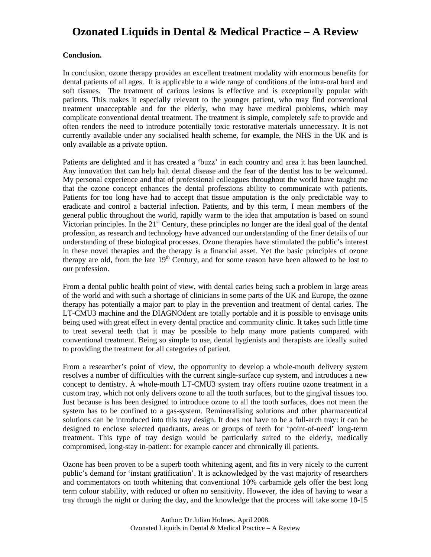#### **Conclusion.**

In conclusion, ozone therapy provides an excellent treatment modality with enormous benefits for dental patients of all ages. It is applicable to a wide range of conditions of the intra-oral hard and soft tissues. The treatment of carious lesions is effective and is exceptionally popular with patients. This makes it especially relevant to the younger patient, who may find conventional treatment unacceptable and for the elderly, who may have medical problems, which may complicate conventional dental treatment. The treatment is simple, completely safe to provide and often renders the need to introduce potentially toxic restorative materials unnecessary. It is not currently available under any socialised health scheme, for example, the NHS in the UK and is only available as a private option.

Patients are delighted and it has created a 'buzz' in each country and area it has been launched. Any innovation that can help halt dental disease and the fear of the dentist has to be welcomed. My personal experience and that of professional colleagues throughout the world have taught me that the ozone concept enhances the dental professions ability to communicate with patients. Patients for too long have had to accept that tissue amputation is the only predictable way to eradicate and control a bacterial infection. Patients, and by this term, I mean members of the general public throughout the world, rapidly warm to the idea that amputation is based on sound Victorian principles. In the  $21<sup>st</sup>$  Century, these principles no longer are the ideal goal of the dental profession, as research and technology have advanced our understanding of the finer details of our understanding of these biological processes. Ozone therapies have stimulated the public's interest in these novel therapies and the therapy is a financial asset. Yet the basic principles of ozone therapy are old, from the late 19<sup>th</sup> Century, and for some reason have been allowed to be lost to our profession.

From a dental public health point of view, with dental caries being such a problem in large areas of the world and with such a shortage of clinicians in some parts of the UK and Europe, the ozone therapy has potentially a major part to play in the prevention and treatment of dental caries. The LT-CMU3 machine and the DIAGNOdent are totally portable and it is possible to envisage units being used with great effect in every dental practice and community clinic. It takes such little time to treat several teeth that it may be possible to help many more patients compared with conventional treatment. Being so simple to use, dental hygienists and therapists are ideally suited to providing the treatment for all categories of patient.

From a researcher's point of view, the opportunity to develop a whole-mouth delivery system resolves a number of difficulties with the current single-surface cup system, and introduces a new concept to dentistry. A whole-mouth LT-CMU3 system tray offers routine ozone treatment in a custom tray, which not only delivers ozone to all the tooth surfaces, but to the gingival tissues too. Just because is has been designed to introduce ozone to all the tooth surfaces, does not mean the system has to be confined to a gas-system. Remineralising solutions and other pharmaceutical solutions can be introduced into this tray design. It does not have to be a full-arch tray: it can be designed to enclose selected quadrants, areas or groups of teeth for 'point-of-need' long-term treatment. This type of tray design would be particularly suited to the elderly, medically compromised, long-stay in-patient: for example cancer and chronically ill patients.

Ozone has been proven to be a superb tooth whitening agent, and fits in very nicely to the current public's demand for 'instant gratification'. It is acknowledged by the vast majority of researchers and commentators on tooth whitening that conventional 10% carbamide gels offer the best long term colour stability, with reduced or often no sensitivity. However, the idea of having to wear a tray through the night or during the day, and the knowledge that the process will take some 10-15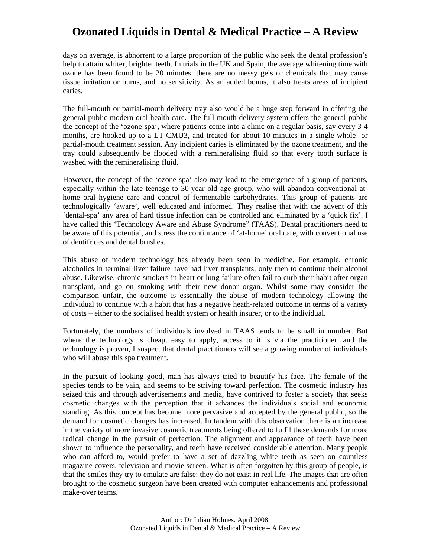days on average, is abhorrent to a large proportion of the public who seek the dental profession's help to attain whiter, brighter teeth. In trials in the UK and Spain, the average whitening time with ozone has been found to be 20 minutes: there are no messy gels or chemicals that may cause tissue irritation or burns, and no sensitivity. As an added bonus, it also treats areas of incipient caries.

The full-mouth or partial-mouth delivery tray also would be a huge step forward in offering the general public modern oral health care. The full-mouth delivery system offers the general public the concept of the 'ozone-spa', where patients come into a clinic on a regular basis, say every 3-4 months, are hooked up to a LT-CMU3, and treated for about 10 minutes in a single whole- or partial-mouth treatment session. Any incipient caries is eliminated by the ozone treatment, and the tray could subsequently be flooded with a remineralising fluid so that every tooth surface is washed with the remineralising fluid.

However, the concept of the 'ozone-spa' also may lead to the emergence of a group of patients, especially within the late teenage to 30-year old age group, who will abandon conventional athome oral hygiene care and control of fermentable carbohydrates. This group of patients are technologically 'aware', well educated and informed. They realise that with the advent of this 'dental-spa' any area of hard tissue infection can be controlled and eliminated by a 'quick fix'. I have called this 'Technology Aware and Abuse Syndrome" (TAAS). Dental practitioners need to be aware of this potential, and stress the continuance of 'at-home' oral care, with conventional use of dentifrices and dental brushes.

This abuse of modern technology has already been seen in medicine. For example, chronic alcoholics in terminal liver failure have had liver transplants, only then to continue their alcohol abuse. Likewise, chronic smokers in heart or lung failure often fail to curb their habit after organ transplant, and go on smoking with their new donor organ. Whilst some may consider the comparison unfair, the outcome is essentially the abuse of modern technology allowing the individual to continue with a habit that has a negative heath-related outcome in terms of a variety of costs – either to the socialised health system or health insurer, or to the individual.

Fortunately, the numbers of individuals involved in TAAS tends to be small in number. But where the technology is cheap, easy to apply, access to it is via the practitioner, and the technology is proven, I suspect that dental practitioners will see a growing number of individuals who will abuse this spa treatment.

In the pursuit of looking good, man has always tried to beautify his face. The female of the species tends to be vain, and seems to be striving toward perfection. The cosmetic industry has seized this and through advertisements and media, have contrived to foster a society that seeks cosmetic changes with the perception that it advances the individuals social and economic standing. As this concept has become more pervasive and accepted by the general public, so the demand for cosmetic changes has increased. In tandem with this observation there is an increase in the variety of more invasive cosmetic treatments being offered to fulfil these demands for more radical change in the pursuit of perfection. The alignment and appearance of teeth have been shown to influence the personality, and teeth have received considerable attention. Many people who can afford to, would prefer to have a set of dazzling white teeth as seen on countless magazine covers, television and movie screen. What is often forgotten by this group of people, is that the smiles they try to emulate are false: they do not exist in real life. The images that are often brought to the cosmetic surgeon have been created with computer enhancements and professional make-over teams.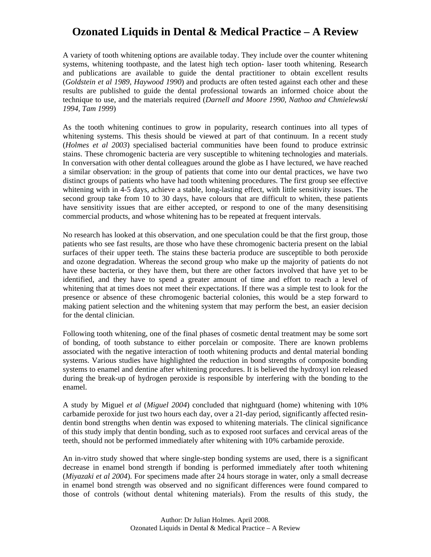A variety of tooth whitening options are available today. They include over the counter whitening systems, whitening toothpaste, and the latest high tech option- laser tooth whitening. Research and publications are available to guide the dental practitioner to obtain excellent results (*Goldstein et al 1989, Haywood 1990*) and products are often tested against each other and these results are published to guide the dental professional towards an informed choice about the technique to use, and the materials required (*Darnell and Moore 1990, Nathoo and Chmielewski 1994, Tam 1999*)

As the tooth whitening continues to grow in popularity, research continues into all types of whitening systems. This thesis should be viewed at part of that continuum. In a recent study (*Holmes et al 2003*) specialised bacterial communities have been found to produce extrinsic stains. These chromogenic bacteria are very susceptible to whitening technologies and materials. In conversation with other dental colleagues around the globe as I have lectured, we have reached a similar observation: in the group of patients that come into our dental practices, we have two distinct groups of patients who have had tooth whitening procedures. The first group see effective whitening with in 4-5 days, achieve a stable, long-lasting effect, with little sensitivity issues. The second group take from 10 to 30 days, have colours that are difficult to whiten, these patients have sensitivity issues that are either accepted, or respond to one of the many desensitising commercial products, and whose whitening has to be repeated at frequent intervals.

No research has looked at this observation, and one speculation could be that the first group, those patients who see fast results, are those who have these chromogenic bacteria present on the labial surfaces of their upper teeth. The stains these bacteria produce are susceptible to both peroxide and ozone degradation. Whereas the second group who make up the majority of patients do not have these bacteria, or they have them, but there are other factors involved that have yet to be identified, and they have to spend a greater amount of time and effort to reach a level of whitening that at times does not meet their expectations. If there was a simple test to look for the presence or absence of these chromogenic bacterial colonies, this would be a step forward to making patient selection and the whitening system that may perform the best, an easier decision for the dental clinician.

Following tooth whitening, one of the final phases of cosmetic dental treatment may be some sort of bonding, of tooth substance to either porcelain or composite. There are known problems associated with the negative interaction of tooth whitening products and dental material bonding systems. Various studies have highlighted the reduction in bond strengths of composite bonding systems to enamel and dentine after whitening procedures. It is believed the hydroxyl ion released during the break-up of hydrogen peroxide is responsible by interfering with the bonding to the enamel.

A study by Miguel *et al* (*Miguel 2004*) concluded that nightguard (home) whitening with 10% carbamide peroxide for just two hours each day, over a 21-day period, significantly affected resindentin bond strengths when dentin was exposed to whitening materials. The clinical significance of this study imply that dentin bonding, such as to exposed root surfaces and cervical areas of the teeth, should not be performed immediately after whitening with 10% carbamide peroxide.

An in-vitro study showed that where single-step bonding systems are used, there is a significant decrease in enamel bond strength if bonding is performed immediately after tooth whitening (*Miyazaki et al 2004*). For specimens made after 24 hours storage in water, only a small decrease in enamel bond strength was observed and no significant differences were found compared to those of controls (without dental whitening materials). From the results of this study, the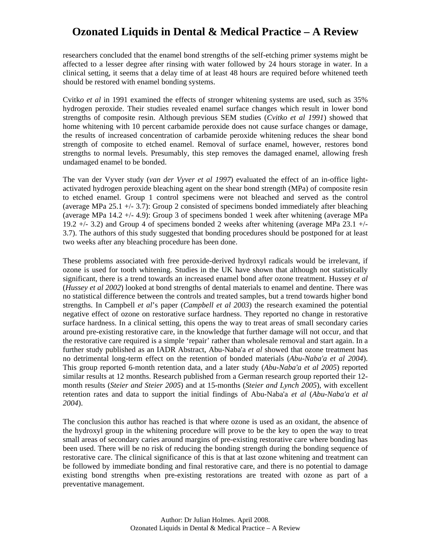researchers concluded that the enamel bond strengths of the self-etching primer systems might be affected to a lesser degree after rinsing with water followed by 24 hours storage in water. In a clinical setting, it seems that a delay time of at least 48 hours are required before whitened teeth should be restored with enamel bonding systems.

Cvitko et al in 1991 examined the effects of stronger whitening systems are used, such as 35% hydrogen peroxide. Their studies revealed enamel surface changes which result in lower bond strengths of composite resin. Although previous SEM studies (*Cvitko et al 1991*) showed that home whitening with 10 percent carbamide peroxide does not cause surface changes or damage, the results of increased concentration of carbamide peroxide whitening reduces the shear bond strength of composite to etched enamel. Removal of surface enamel, however, restores bond strengths to normal levels. Presumably, this step removes the damaged enamel, allowing fresh undamaged enamel to be bonded.

The van der Vyver study (*van der Vyver et al 1997*) evaluated the effect of an in-office lightactivated hydrogen peroxide bleaching agent on the shear bond strength (MPa) of composite resin to etched enamel. Group 1 control specimens were not bleached and served as the control (average MPa 25.1 +/- 3.7): Group 2 consisted of specimens bonded immediately after bleaching (average MPa 14.2 +/- 4.9): Group 3 of specimens bonded 1 week after whitening (average MPa 19.2 +/- 3.2) and Group 4 of specimens bonded 2 weeks after whitening (average MPa 23.1 +/- 3.7). The authors of this study suggested that bonding procedures should be postponed for at least two weeks after any bleaching procedure has been done.

These problems associated with free peroxide-derived hydroxyl radicals would be irrelevant, if ozone is used for tooth whitening. Studies in the UK have shown that although not statistically significant, there is a trend towards an increased enamel bond after ozone treatment. Hussey *et al* (*Hussey et al 2002*) looked at bond strengths of dental materials to enamel and dentine. There was no statistical difference between the controls and treated samples, but a trend towards higher bond strengths. In Campbell *et al*'s paper (*Campbell et al 2003*) the research examined the potential negative effect of ozone on restorative surface hardness. They reported no change in restorative surface hardness. In a clinical setting, this opens the way to treat areas of small secondary caries around pre-existing restorative care, in the knowledge that further damage will not occur, and that the restorative care required is a simple 'repair' rather than wholesale removal and start again. In a further study published as an IADR Abstract, Abu-Naba'a *et al* showed that ozone treatment has no detrimental long-term effect on the retention of bonded materials (*Abu-Naba'a et al 2004*). This group reported 6-month retention data, and a later study (*Abu-Naba'a et al 2005*) reported similar results at 12 months. Research published from a German research group reported their 12 month results (*Steier and Steier 2005*) and at 15-months (*Steier and Lynch 2005*), with excellent retention rates and data to support the initial findings of Abu-Naba'a *et al* (*Abu-Naba'a et al 2004*).

The conclusion this author has reached is that where ozone is used as an oxidant, the absence of the hydroxyl group in the whitening procedure will prove to be the key to open the way to treat small areas of secondary caries around margins of pre-existing restorative care where bonding has been used. There will be no risk of reducing the bonding strength during the bonding sequence of restorative care. The clinical significance of this is that at last ozone whitening and treatment can be followed by immediate bonding and final restorative care, and there is no potential to damage existing bond strengths when pre-existing restorations are treated with ozone as part of a preventative management.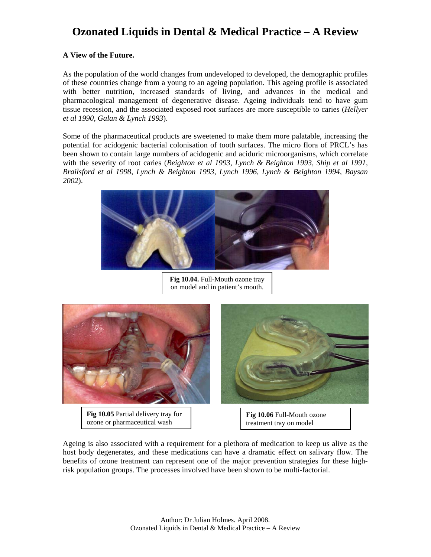### **A View of the Future.**

As the population of the world changes from undeveloped to developed, the demographic profiles of these countries change from a young to an ageing population. This ageing profile is associated with better nutrition, increased standards of living, and advances in the medical and pharmacological management of degenerative disease. Ageing individuals tend to have gum tissue recession, and the associated exposed root surfaces are more susceptible to caries (*Hellyer et al 1990, Galan & Lynch 1993*).

Some of the pharmaceutical products are sweetened to make them more palatable, increasing the potential for acidogenic bacterial colonisation of tooth surfaces. The micro flora of PRCL's has been shown to contain large numbers of acidogenic and aciduric microorganisms, which correlate with the severity of root caries (*Beighton et al 1993, Lynch & Beighton 1993, Ship et al 1991, Brailsford et al 1998, Lynch & Beighton 1993, Lynch 1996, Lynch & Beighton 1994, Baysan 2002*).



**Fig 10.04.** Full-Mouth ozone tray on model and in patient's mouth.



**Fig 10.05** Partial delivery tray for ozone or pharmaceutical wash



**Fig 10.06** Full-Mouth ozone treatment tray on model

Ageing is also associated with a requirement for a plethora of medication to keep us alive as the host body degenerates, and these medications can have a dramatic effect on salivary flow. The benefits of ozone treatment can represent one of the major prevention strategies for these highrisk population groups. The processes involved have been shown to be multi-factorial.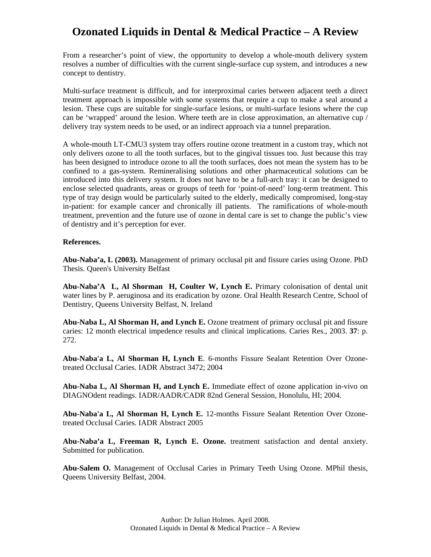From a researcher's point of view, the opportunity to develop a whole-mouth delivery system resolves a number of difficulties with the current single-surface cup system, and introduces a new concept to dentistry.

Multi-surface treatment is difficult, and for interproximal caries between adjacent teeth a direct treatment approach is impossible with some systems that require a cup to make a seal around a lesion. These cups are suitable for single-surface lesions, or multi-surface lesions where the cup can be 'wrapped' around the lesion. Where teeth are in close approximation, an alternative cup / delivery tray system needs to be used, or an indirect approach via a tunnel preparation.

A whole-mouth LT-CMU3 system tray offers routine ozone treatment in a custom tray, which not only delivers ozone to all the tooth surfaces, but to the gingival tissues too. Just because this tray has been designed to introduce ozone to all the tooth surfaces, does not mean the system has to be confined to a gas-system. Remineralising solutions and other pharmaceutical solutions can be introduced into this delivery system. It does not have to be a full-arch tray: it can be designed to enclose selected quadrants, areas or groups of teeth for 'point-of-need' long-term treatment. This type of tray design would be particularly suited to the elderly, medically compromised, long-stay in-patient: for example cancer and chronically ill patients. The ramifications of whole-mouth treatment, prevention and the future use of ozone in dental care is set to change the public's view of dentistry and it's perception for ever.

#### **References.**

**Abu-Naba'a, L (2003).** Management of primary occlusal pit and fissure caries using Ozone. PhD Thesis. Queen's University Belfast

**Abu-Naba'A L, Al Shorman H, Coulter W, Lynch E.** Primary colonisation of dental unit water lines by P. aeruginosa and its eradication by ozone. Oral Health Research Centre, School of Dentistry, Queens University Belfast, N. Ireland

**Abu-Naba L, Al Shorman H, and Lynch E.** Ozone treatment of primary occlusal pit and fissure caries: 12 month electrical impedence results and clinical implications. Caries Res., 2003. **37**: p. 272.

**Abu-Naba'a L, Al Shorman H, Lynch E**. 6-months Fissure Sealant Retention Over Ozonetreated Occlusal Caries. IADR Abstract 3472; 2004

**Abu-Naba L, Al Shorman H, and Lynch E.** Immediate effect of ozone application in-vivo on DIAGNOdent readings. IADR/AADR/CADR 82nd General Session, Honolulu, HI; 2004.

**Abu-Naba'a L, Al Shorman H, Lynch E.** 12-months Fissure Sealant Retention Over Ozonetreated Occlusal Caries. IADR Abstract 2005

**Abu-Naba'a L, Freeman R, Lynch E. Ozone.** treatment satisfaction and dental anxiety. Submitted for publication.

**Abu-Salem O.** Management of Occlusal Caries in Primary Teeth Using Ozone. MPhil thesis, Queens University Belfast, 2004.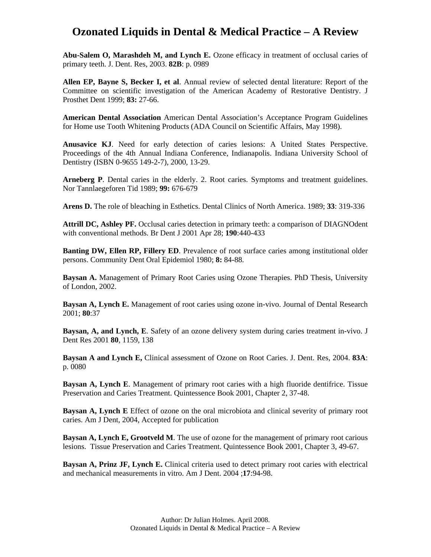**Abu-Salem O, Marashdeh M, and Lynch E.** Ozone efficacy in treatment of occlusal caries of primary teeth. J. Dent. Res, 2003. **82B**: p. 0989

**Allen EP, Bayne S, Becker I, et al**. Annual review of selected dental literature: Report of the Committee on scientific investigation of the American Academy of Restorative Dentistry. J Prosthet Dent 1999; **83:** 27-66.

**American Dental Association** American Dental Association's Acceptance Program Guidelines for Home use Tooth Whitening Products (ADA Council on Scientific Affairs, May 1998).

**Anusavice KJ**. Need for early detection of caries lesions: A United States Perspective. Proceedings of the 4th Annual Indiana Conference, Indianapolis. Indiana University School of Dentistry (ISBN 0-9655 149-2-7), 2000, 13-29.

**Arneberg P**. Dental caries in the elderly. 2. Root caries. Symptoms and treatment guidelines. Nor Tannlaegeforen Tid 1989; **99:** 676-679

**Arens D.** The role of bleaching in Esthetics. Dental Clinics of North America. 1989; **33**: 319-336

**Attrill DC, Ashley PF.** Occlusal caries detection in primary teeth: a comparison of DIAGNOdent with conventional methods. Br Dent J 2001 Apr 28; **190**:440-433

**Banting DW, Ellen RP, Fillery ED**. Prevalence of root surface caries among institutional older persons. Community Dent Oral Epidemiol 1980; **8:** 84-88.

**Baysan A.** Management of Primary Root Caries using Ozone Therapies. PhD Thesis, University of London, 2002.

**Baysan A, Lynch E.** Management of root caries using ozone in-vivo. Journal of Dental Research 2001; **80**:37

**Baysan, A, and Lynch, E**. Safety of an ozone delivery system during caries treatment in-vivo. J Dent Res 2001 **80**, 1159, 138

**Baysan A and Lynch E,** Clinical assessment of Ozone on Root Caries. J. Dent. Res, 2004. **83A**: p. 0080

**Baysan A, Lynch E**. Management of primary root caries with a high fluoride dentifrice. Tissue Preservation and Caries Treatment. Quintessence Book 2001, Chapter 2, 37-48.

**Baysan A, Lynch E** Effect of ozone on the oral microbiota and clinical severity of primary root caries. Am J Dent, 2004, Accepted for publication

**Baysan A, Lynch E, Grootveld M**. The use of ozone for the management of primary root carious lesions. Tissue Preservation and Caries Treatment. Quintessence Book 2001, Chapter 3, 49-67.

**Baysan A, Prinz JF, Lynch E.** Clinical criteria used to detect primary root caries with electrical and mechanical measurements in vitro. Am J Dent. 2004 ;**17**:94-98.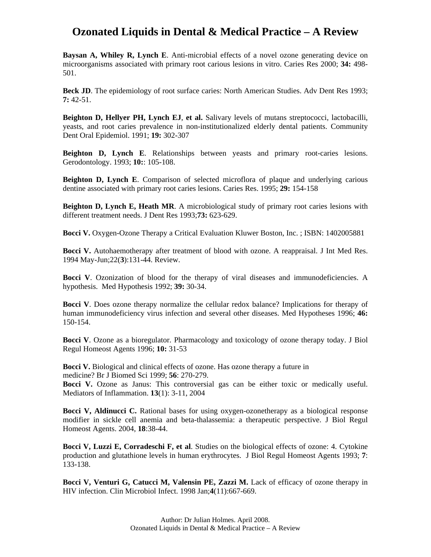**Baysan A, Whiley R, Lynch E**. Anti-microbial effects of a novel ozone generating device on microorganisms associated with primary root carious lesions in vitro. Caries Res 2000; **34:** 498- 501.

**Beck JD**. The epidemiology of root surface caries: North American Studies. Adv Dent Res 1993; **7:** 42-51.

**Beighton D, Hellyer PH, Lynch EJ**, **et al.** Salivary levels of mutans streptococci, lactobacilli, yeasts, and root caries prevalence in non-institutionalized elderly dental patients. Community Dent Oral Epidemiol. 1991; **19:** 302-307

**Beighton D, Lynch E**. Relationships between yeasts and primary root-caries lesions. Gerodontology. 1993; **10:**: 105-108.

**Beighton D, Lynch E.** Comparison of selected microflora of plaque and underlying carious dentine associated with primary root caries lesions. Caries Res. 1995; **29:** 154-158

**Beighton D, Lynch E, Heath MR**. A microbiological study of primary root caries lesions with different treatment needs. J Dent Res 1993;**73:** 623-629.

**Bocci V.** Oxygen-Ozone Therapy a Critical Evaluation Kluwer Boston, Inc. ; ISBN: 1402005881

**Bocci V.** Autohaemotherapy after treatment of blood with ozone. A reappraisal. J Int Med Res. 1994 May-Jun;22(**3**):131-44. Review.

**Bocci V**. Ozonization of blood for the therapy of viral diseases and immunodeficiencies. A hypothesis. Med Hypothesis 1992; **39:** 30-34.

**Bocci V**. Does ozone therapy normalize the cellular redox balance? Implications for therapy of human immunodeficiency virus infection and several other diseases. Med Hypotheses 1996; **46:** 150-154.

**Bocci V**. Ozone as a bioregulator. Pharmacology and toxicology of ozone therapy today. J Biol Regul Homeost Agents 1996; **10:** 31-53

**Bocci V.** Biological and clinical effects of ozone. Has ozone therapy a future in medicine? Br J Biomed Sci 1999; **56**: 270-279.

**Bocci V.** Ozone as Janus: This controversial gas can be either toxic or medically useful. Mediators of Inflammation. **13**(1): 3-11, 2004

**Bocci V, Aldinucci C.** Rational bases for using oxygen-ozonetherapy as a biological response modifier in sickle cell anemia and beta-thalassemia: a therapeutic perspective. J Biol Regul Homeost Agents. 2004, **18**:38-44.

**Bocci V, Luzzi E, Corradeschi F, et al**. Studies on the biological effects of ozone: 4. Cytokine production and glutathione levels in human erythrocytes. J Biol Regul Homeost Agents 1993; **7**: 133-138.

**Bocci V, Venturi G, Catucci M, Valensin PE, Zazzi M.** Lack of efficacy of ozone therapy in HIV infection. Clin Microbiol Infect. 1998 Jan;**4**(11):667-669.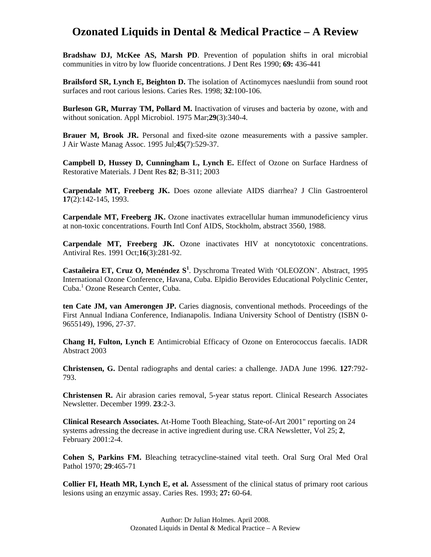**Bradshaw DJ, McKee AS, Marsh PD**. Prevention of population shifts in oral microbial communities in vitro by low fluoride concentrations. J Dent Res 1990; **69:** 436-441

Brailsford SR, Lynch E, Beighton D. The isolation of Actinomyces naeslundii from sound root surfaces and root carious lesions. Caries Res. 1998; **32**:100-106.

**Burleson GR, Murray TM, Pollard M.** Inactivation of viruses and bacteria by ozone, with and without sonication. Appl Microbiol. 1975 Mar;**29**(3):340-4.

**Brauer M, Brook JR.** Personal and fixed-site ozone measurements with a passive sampler. J Air Waste Manag Assoc. 1995 Jul;**45**(7):529-37.

**Campbell D, Hussey D, Cunningham L, Lynch E.** Effect of Ozone on Surface Hardness of Restorative Materials. J Dent Res **82**; B-311; 2003

**Carpendale MT, Freeberg JK.** Does ozone alleviate AIDS diarrhea? J Clin Gastroenterol **17**(2):142-145, 1993.

**Carpendale MT, Freeberg JK.** Ozone inactivates extracellular human immunodeficiency virus at non-toxic concentrations. Fourth Intl Conf AIDS, Stockholm, abstract 3560, 1988.

**Carpendale MT, Freeberg JK.** Ozone inactivates HIV at noncytotoxic concentrations. Antiviral Res. 1991 Oct;**16**(3):281-92.

**Castañeira ET, Cruz O, Menéndez S<sup>1</sup>** . Dyschroma Treated With 'OLEOZON'. Abstract, 1995 International Ozone Conference, Havana, Cuba. Elpidio Berovides Educational Polyclinic Center, Cuba.<sup>1</sup> Ozone Research Center, Cuba.

**ten Cate JM, van Amerongen JP.** Caries diagnosis, conventional methods. Proceedings of the First Annual Indiana Conference, Indianapolis. Indiana University School of Dentistry (ISBN 0- 9655149), 1996, 27-37.

**Chang H, Fulton, Lynch E** Antimicrobial Efficacy of Ozone on Enterococcus faecalis. IADR Abstract 2003

**Christensen, G.** Dental radiographs and dental caries: a challenge. JADA June 1996. **127**:792- 793.

**Christensen R.** Air abrasion caries removal, 5-year status report. Clinical Research Associates Newsletter. December 1999. **23**:2-3.

**Clinical Research Associates.** At-Home Tooth Bleaching, State-of-Art 2001" reporting on 24 systems adressing the decrease in active ingredient during use. CRA Newsletter, Vol 25; **2**, February 2001:2-4.

**Cohen S, Parkins FM.** Bleaching tetracycline-stained vital teeth. Oral Surg Oral Med Oral Pathol 1970; **29**:465-71

**Collier FI, Heath MR, Lynch E, et al.** Assessment of the clinical status of primary root carious lesions using an enzymic assay. Caries Res. 1993; **27:** 60-64.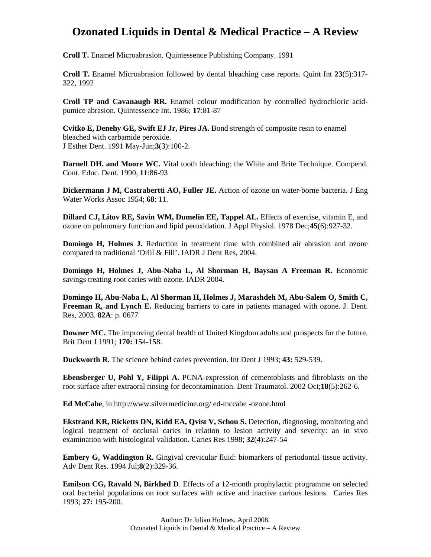**Croll T.** Enamel Microabrasion. Quintessence Publishing Company. 1991

**Croll T.** Enamel Microabrasion followed by dental bleaching case reports. Quint Int **23**(5):317- 322, 1992

**Croll TP and Cavanaugh RR.** Enamel colour modification by controlled hydrochloric acidpumice abrasion. Quintessence Int. 1986; **17**:81-87

**Cvitko E, Denehy GE, Swift EJ Jr, Pires JA.** Bond strength of composite resin to enamel bleached with carbamide peroxide. J Esthet Dent. 1991 May-Jun;**3**(3):100-2.

**Darnell DH. and Moore WC.** Vital tooth bleaching: the White and Brite Technique. Compend. Cont. Educ. Dent. 1990, **11**:86-93

**Dickermann J M, Castrabertti AO, Fuller JE.** Action of ozone on water-borne bacteria. J Eng Water Works Assoc 1954; **68**: 11.

**Dillard CJ, Litov RE, Savin WM, Dumelin EE, Tappel AL.** Effects of exercise, vitamin E, and ozone on pulmonary function and lipid peroxidation. J Appl Physiol. 1978 Dec;**45**(6):927-32.

**Domingo H, Holmes J.** Reduction in treatment time with combined air abrasion and ozone compared to traditional 'Drill & Fill'. IADR J Dent Res, 2004.

**Domingo H, Holmes J, Abu-Naba L, Al Shorman H, Baysan A Freeman R.** Economic savings treating root caries with ozone. IADR 2004.

**Domingo H, Abu-Naba L, Al Shorman H, Holmes J, Marashdeh M, Abu-Salem O, Smith C, Freeman R, and Lynch E.** Reducing barriers to care in patients managed with ozone. J. Dent. Res, 2003. **82A**: p. 0677

**Downer MC.** The improving dental health of United Kingdom adults and prospects for the future. Brit Dent J 1991; **170:** 154-158.

**Duckworth R**. The science behind caries prevention. Int Dent J 1993; **43:** 529-539.

**Ebensberger U, Pohl Y, Filippi A.** PCNA-expression of cementoblasts and fibroblasts on the root surface after extraoral rinsing for decontamination. Dent Traumatol. 2002 Oct;**18**(5):262-6.

**Ed McCabe**, in http://www.silvermedicine.org/ ed-mccabe -ozone.html

**Ekstrand KR, Ricketts DN, Kidd EA, Qvist V, Schou S.** Detection, diagnosing, monitoring and logical treatment of occlusal caries in relation to lesion activity and severity: an in vivo examination with histological validation. Caries Res 1998; **32**(4):247-54

**Embery G, Waddington R.** Gingival crevicular fluid: biomarkers of periodontal tissue activity. Adv Dent Res. 1994 Jul;**8**(2):329-36.

**Emilson CG, Ravald N, Birkhed D**. Effects of a 12-month prophylactic programme on selected oral bacterial populations on root surfaces with active and inactive carious lesions. Caries Res 1993; **27:** 195-200.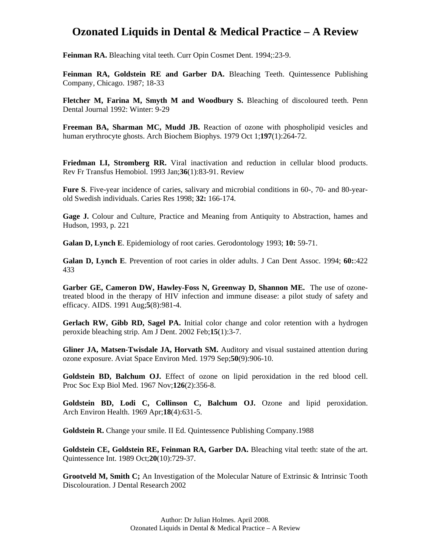Feinman RA. Bleaching vital teeth. Curr Opin Cosmet Dent. 1994;:23-9.

**Feinman RA, Goldstein RE and Garber DA.** Bleaching Teeth. Quintessence Publishing Company, Chicago. 1987; 18-33

**Fletcher M, Farina M, Smyth M and Woodbury S.** Bleaching of discoloured teeth. Penn Dental Journal 1992: Winter: 9-29

**Freeman BA, Sharman MC, Mudd JB.** Reaction of ozone with phospholipid vesicles and human erythrocyte ghosts. Arch Biochem Biophys. 1979 Oct 1;**197**(1):264-72.

**Friedman LI, Stromberg RR.** Viral inactivation and reduction in cellular blood products. Rev Fr Transfus Hemobiol. 1993 Jan;**36**(1):83-91. Review

**Fure S**. Five-year incidence of caries, salivary and microbial conditions in 60-, 70- and 80-yearold Swedish individuals. Caries Res 1998; **32:** 166-174.

**Gage J.** Colour and Culture, Practice and Meaning from Antiquity to Abstraction, hames and Hudson, 1993, p. 221

**Galan D, Lynch E**. Epidemiology of root caries. Gerodontology 1993; **10:** 59-71.

**Galan D, Lynch E**. Prevention of root caries in older adults. J Can Dent Assoc. 1994; **60:**:422 433

**Garber GE, Cameron DW, Hawley-Foss N, Greenway D, Shannon ME.** The use of ozonetreated blood in the therapy of HIV infection and immune disease: a pilot study of safety and efficacy. AIDS. 1991 Aug;**5**(8):981-4.

**Gerlach RW, Gibb RD, Sagel PA.** Initial color change and color retention with a hydrogen peroxide bleaching strip. Am J Dent. 2002 Feb;**15**(1):3-7.

**Gliner JA, Matsen-Twisdale JA, Horvath SM.** Auditory and visual sustained attention during ozone exposure. Aviat Space Environ Med. 1979 Sep;**50**(9):906-10.

**Goldstein BD, Balchum OJ.** Effect of ozone on lipid peroxidation in the red blood cell. Proc Soc Exp Biol Med. 1967 Nov;**126**(2):356-8.

**Goldstein BD, Lodi C, Collinson C, Balchum OJ.** Ozone and lipid peroxidation. Arch Environ Health. 1969 Apr;**18**(4):631-5.

**Goldstein R.** Change your smile. II Ed. Quintessence Publishing Company.1988

**Goldstein CE, Goldstein RE, Feinman RA, Garber DA.** Bleaching vital teeth: state of the art. Quintessence Int. 1989 Oct;**20**(10):729-37.

Grootveld M, Smith C; An Investigation of the Molecular Nature of Extrinsic & Intrinsic Tooth Discolouration. J Dental Research 2002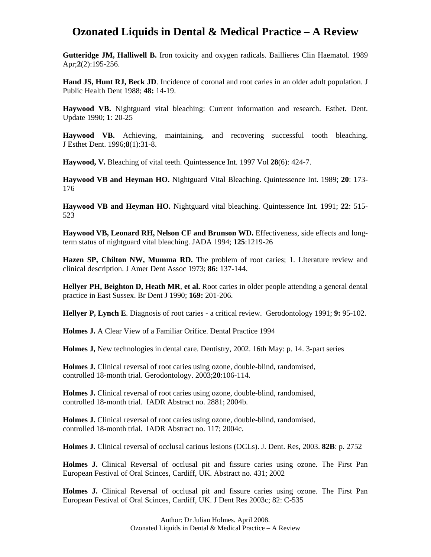**Gutteridge JM, Halliwell B.** Iron toxicity and oxygen radicals. Baillieres Clin Haematol. 1989 Apr;**2**(2):195-256.

**Hand JS, Hunt RJ, Beck JD**. Incidence of coronal and root caries in an older adult population. J Public Health Dent 1988; **48:** 14-19.

**Haywood VB.** Nightguard vital bleaching: Current information and research. Esthet. Dent. Update 1990; **1**: 20-25

**Haywood VB.** Achieving, maintaining, and recovering successful tooth bleaching. J Esthet Dent. 1996;**8**(1):31-8.

**Haywood, V.** Bleaching of vital teeth. Quintessence Int. 1997 Vol **28**(6): 424-7.

**Haywood VB and Heyman HO.** Nightguard Vital Bleaching. Quintessence Int. 1989; **20**: 173- 176

**Haywood VB and Heyman HO.** Nightguard vital bleaching. Quintessence Int. 1991; **22**: 515- 523

**Haywood VB, Leonard RH, Nelson CF and Brunson WD.** Effectiveness, side effects and longterm status of nightguard vital bleaching. JADA 1994; **125**:1219-26

**Hazen SP, Chilton NW, Mumma RD.** The problem of root caries; 1. Literature review and clinical description. J Amer Dent Assoc 1973; **86:** 137-144.

**Hellyer PH, Beighton D, Heath MR**, **et al.** Root caries in older people attending a general dental practice in East Sussex. Br Dent J 1990; **169:** 201-206.

**Hellyer P, Lynch E**. Diagnosis of root caries - a critical review. Gerodontology 1991; **9:** 95-102.

**Holmes J.** A Clear View of a Familiar Orifice. Dental Practice 1994

**Holmes J,** New technologies in dental care. Dentistry, 2002. 16th May: p. 14. 3-part series

**Holmes J.** Clinical reversal of root caries using ozone, double-blind, randomised, controlled 18-month trial. Gerodontology. 2003;**20**:106-114.

**Holmes J.** Clinical reversal of root caries using ozone, double-blind, randomised, controlled 18-month trial. IADR Abstract no. 2881; 2004b.

**Holmes J.** Clinical reversal of root caries using ozone, double-blind, randomised, controlled 18-month trial. IADR Abstract no. 117; 2004c.

**Holmes J.** Clinical reversal of occlusal carious lesions (OCLs). J. Dent. Res, 2003. **82B**: p. 2752

**Holmes J.** Clinical Reversal of occlusal pit and fissure caries using ozone. The First Pan European Festival of Oral Scinces, Cardiff, UK. Abstract no. 431; 2002

**Holmes J.** Clinical Reversal of occlusal pit and fissure caries using ozone. The First Pan European Festival of Oral Scinces, Cardiff, UK. J Dent Res 2003c; 82: C-535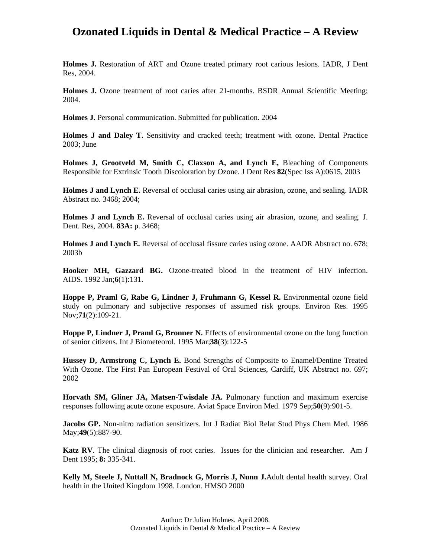**Holmes J.** Restoration of ART and Ozone treated primary root carious lesions. IADR, J Dent Res, 2004.

**Holmes J.** Ozone treatment of root caries after 21-months. BSDR Annual Scientific Meeting; 2004.

**Holmes J.** Personal communication. Submitted for publication. 2004

**Holmes J and Daley T.** Sensitivity and cracked teeth; treatment with ozone. Dental Practice 2003; June

**Holmes J, Grootveld M, Smith C, Claxson A, and Lynch E,** Bleaching of Components Responsible for Extrinsic Tooth Discoloration by Ozone. J Dent Res **82**(Spec Iss A):0615, 2003

**Holmes J and Lynch E.** Reversal of occlusal caries using air abrasion, ozone, and sealing. IADR Abstract no. 3468; 2004;

**Holmes J and Lynch E.** Reversal of occlusal caries using air abrasion, ozone, and sealing. J. Dent. Res, 2004. **83A:** p. 3468;

**Holmes J and Lynch E.** Reversal of occlusal fissure caries using ozone. AADR Abstract no. 678; 2003b

**Hooker MH, Gazzard BG.** Ozone-treated blood in the treatment of HIV infection. AIDS. 1992 Jan;**6**(1):131.

**Hoppe P, Praml G, Rabe G, Lindner J, Fruhmann G, Kessel R.** Environmental ozone field study on pulmonary and subjective responses of assumed risk groups. Environ Res. 1995 Nov;**71**(2):109-21.

**Hoppe P, Lindner J, Praml G, Bronner N.** Effects of environmental ozone on the lung function of senior citizens. Int J Biometeorol. 1995 Mar;**38**(3):122-5

**Hussey D, Armstrong C, Lynch E.** Bond Strengths of Composite to Enamel/Dentine Treated With Ozone. The First Pan European Festival of Oral Sciences, Cardiff, UK Abstract no. 697; 2002

**Horvath SM, Gliner JA, Matsen-Twisdale JA.** Pulmonary function and maximum exercise responses following acute ozone exposure. Aviat Space Environ Med. 1979 Sep;**50**(9):901-5.

**Jacobs GP.** Non-nitro radiation sensitizers. Int J Radiat Biol Relat Stud Phys Chem Med. 1986 May;**49**(5):887-90.

**Katz RV**. The clinical diagnosis of root caries. Issues for the clinician and researcher. Am J Dent 1995; **8:** 335-341.

**Kelly M, Steele J, Nuttall N, Bradnock G, Morris J, Nunn J.**Adult dental health survey. Oral health in the United Kingdom 1998. London. HMSO 2000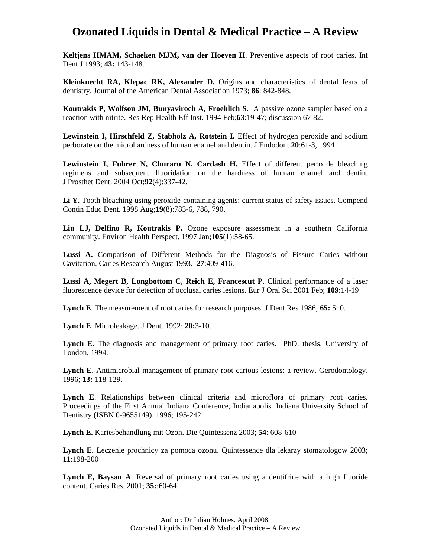**Keltjens HMAM, Schaeken MJM, van der Hoeven H**. Preventive aspects of root caries. Int Dent J 1993; **43:** 143-148.

**Kleinknecht RA, Klepac RK, Alexander D.** Origins and characteristics of dental fears of dentistry. Journal of the American Dental Association 1973; **86**: 842-848.

**Koutrakis P, Wolfson JM, Bunyaviroch A, Froehlich S.** A passive ozone sampler based on a reaction with nitrite. Res Rep Health Eff Inst. 1994 Feb;**63**:19-47; discussion 67-82.

**Lewinstein I, Hirschfeld Z, Stabholz A, Rotstein I.** Effect of hydrogen peroxide and sodium perborate on the microhardness of human enamel and dentin. J Endodont **20**:61-3, 1994

Lewinstein I, Fuhrer N, Churaru N, Cardash H. Effect of different peroxide bleaching regimens and subsequent fluoridation on the hardness of human enamel and dentin. J Prosthet Dent. 2004 Oct;**92**(4):337-42.

Li **Y.** Tooth bleaching using peroxide-containing agents: current status of safety issues. Compend Contin Educ Dent. 1998 Aug;**19**(8):783-6, 788, 790,

**Liu LJ, Delfino R, Koutrakis P.** Ozone exposure assessment in a southern California community. Environ Health Perspect. 1997 Jan;**105**(1):58-65.

**Lussi A.** Comparison of Different Methods for the Diagnosis of Fissure Caries without Cavitation. Caries Research August 1993. **27**:409-416.

**Lussi A, Megert B, Longbottom C, Reich E, Francescut P.** Clinical performance of a laser fluorescence device for detection of occlusal caries lesions. Eur J Oral Sci 2001 Feb; **109**:14-19

**Lynch E**. The measurement of root caries for research purposes. J Dent Res 1986; **65:** 510.

**Lynch E**. Microleakage. J Dent. 1992; **20:**3-10.

**Lynch E**. The diagnosis and management of primary root caries. PhD. thesis, University of London, 1994.

**Lynch E**. Antimicrobial management of primary root carious lesions: a review. Gerodontology. 1996; **13:** 118-129.

**Lynch E**. Relationships between clinical criteria and microflora of primary root caries. Proceedings of the First Annual Indiana Conference, Indianapolis. Indiana University School of Dentistry (ISBN 0-9655149), 1996; 195-242

**Lynch E.** Kariesbehandlung mit Ozon. Die Quintessenz 2003; **54**: 608-610

Lynch E. Leczenie prochnicy za pomoca ozonu. Quintessence dla lekarzy stomatologow 2003; **11**:198-200

**Lynch E, Baysan A**. Reversal of primary root caries using a dentifrice with a high fluoride content. Caries Res. 2001; **35:**:60-64.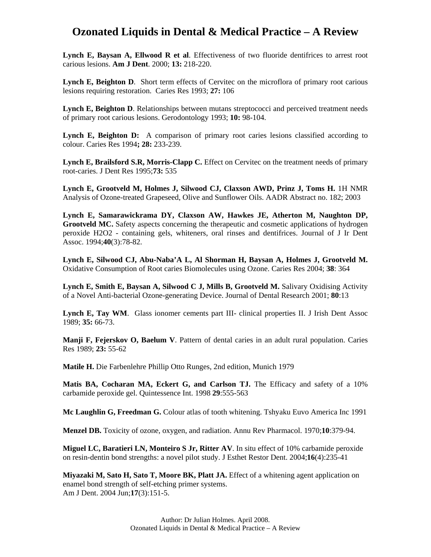**Lynch E, Baysan A, Ellwood R et al**. Effectiveness of two fluoride dentifrices to arrest root carious lesions. **Am J Dent**. 2000; **13:** 218-220.

**Lynch E, Beighton D**. Short term effects of Cervitec on the microflora of primary root carious lesions requiring restoration. Caries Res 1993; **27:** 106

Lynch E, Beighton D. Relationships between mutans streptococci and perceived treatment needs of primary root carious lesions. Gerodontology 1993; **10:** 98-104.

**Lynch E, Beighton D:** A comparison of primary root caries lesions classified according to colour. Caries Res 1994**; 28:** 233-239.

**Lynch E, Brailsford S.R, Morris-Clapp C.** Effect on Cervitec on the treatment needs of primary root-caries. J Dent Res 1995;**73:** 535

**Lynch E, Grootveld M, Holmes J, Silwood CJ, Claxson AWD, Prinz J, Toms H.** 1H NMR Analysis of Ozone-treated Grapeseed, Olive and Sunflower Oils. AADR Abstract no. 182; 2003

**Lynch E, Samarawickrama DY, Claxson AW, Hawkes JE, Atherton M, Naughton DP, Grootveld MC.** Safety aspects concerning the therapeutic and cosmetic applications of hydrogen peroxide H2O2 - containing gels, whiteners, oral rinses and dentifrices. Journal of J Ir Dent Assoc. 1994;**40**(3):78-82.

**Lynch E, Silwood CJ, Abu-Naba'A L, Al Shorman H, Baysan A, Holmes J, Grootveld M.** Oxidative Consumption of Root caries Biomolecules using Ozone. Caries Res 2004; **38**: 364

**Lynch E, Smith E, Baysan A, Silwood C J, Mills B, Grootveld M.** Salivary Oxidising Activity of a Novel Anti-bacterial Ozone-generating Device. Journal of Dental Research 2001; **80**:13

**Lynch E, Tay WM**. Glass ionomer cements part III- clinical properties II. J Irish Dent Assoc 1989; **35:** 66-73.

**Manji F, Fejerskov O, Baelum V**. Pattern of dental caries in an adult rural population. Caries Res 1989; **23:** 55-62

**Matile H.** Die Farbenlehre Phillip Otto Runges, 2nd edition, Munich 1979

**Matis BA, Cocharan MA, Eckert G, and Carlson TJ.** The Efficacy and safety of a 10% carbamide peroxide gel. Quintessence Int. 1998 **29**:555-563

**Mc Laughlin G, Freedman G.** Colour atlas of tooth whitening. Tshyaku Euvo America Inc 1991

**Menzel DB.** Toxicity of ozone, oxygen, and radiation. Annu Rev Pharmacol. 1970;**10**:379-94.

**Miguel LC, Baratieri LN, Monteiro S Jr, Ritter AV**. In situ effect of 10% carbamide peroxide on resin-dentin bond strengths: a novel pilot study. J Esthet Restor Dent. 2004;**16**(4):235-41

**Miyazaki M, Sato H, Sato T, Moore BK, Platt JA.** Effect of a whitening agent application on enamel bond strength of self-etching primer systems. Am J Dent. 2004 Jun;**17**(3):151-5.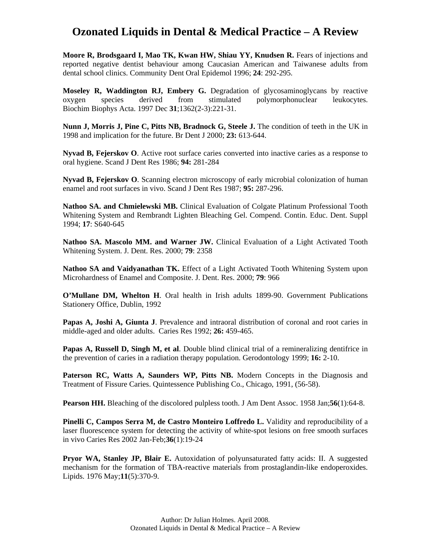**Moore R, Brodsgaard I, Mao TK, Kwan HW, Shiau YY, Knudsen R.** Fears of injections and reported negative dentist behaviour among Caucasian American and Taiwanese adults from dental school clinics. Community Dent Oral Epidemol 1996; **24**: 292-295.

**Moseley R, Waddington RJ, Embery G.** Degradation of glycosaminoglycans by reactive oxygen species derived from stimulated polymorphonuclear leukocytes. Biochim Biophys Acta. 1997 Dec **31**;1362(2-3):221-31.

**Nunn J, Morris J, Pine C, Pitts NB, Bradnock G, Steele J.** The condition of teeth in the UK in 1998 and implication for the future. Br Dent J 2000; **23:** 613-644.

**Nyvad B, Fejerskov O**. Active root surface caries converted into inactive caries as a response to oral hygiene. Scand J Dent Res 1986; **94:** 281-284

**Nyvad B, Fejerskov O**. Scanning electron microscopy of early microbial colonization of human enamel and root surfaces in vivo. Scand J Dent Res 1987; **95:** 287-296.

**Nathoo SA. and Chmielewski MB.** Clinical Evaluation of Colgate Platinum Professional Tooth Whitening System and Rembrandt Lighten Bleaching Gel. Compend. Contin. Educ. Dent. Suppl 1994; **17**: S640-645

**Nathoo SA. Mascolo MM. and Warner JW.** Clinical Evaluation of a Light Activated Tooth Whitening System. J. Dent. Res. 2000; **79**: 2358

**Nathoo SA and Vaidyanathan TK.** Effect of a Light Activated Tooth Whitening System upon Microhardness of Enamel and Composite. J. Dent. Res. 2000; **79**: 966

**O'Mullane DM, Whelton H**. Oral health in Irish adults 1899-90. Government Publications Stationery Office, Dublin, 1992

**Papas A, Joshi A, Giunta J**. Prevalence and intraoral distribution of coronal and root caries in middle-aged and older adults. Caries Res 1992; **26:** 459-465.

**Papas A, Russell D, Singh M, et al**. Double blind clinical trial of a remineralizing dentifrice in the prevention of caries in a radiation therapy population. Gerodontology 1999; **16:** 2-10.

Paterson RC, Watts A, Saunders WP, Pitts NB. Modern Concepts in the Diagnosis and Treatment of Fissure Caries. Quintessence Publishing Co., Chicago, 1991, (56-58).

**Pearson HH.** Bleaching of the discolored pulpless tooth. J Am Dent Assoc. 1958 Jan;**56**(1):64-8.

**Pinelli C, Campos Serra M, de Castro Monteiro Loffredo L.** Validity and reproducibility of a laser fluorescence system for detecting the activity of white-spot lesions on free smooth surfaces in vivo Caries Res 2002 Jan-Feb;**36**(1):19-24

**Pryor WA, Stanley JP, Blair E.** Autoxidation of polyunsaturated fatty acids: II. A suggested mechanism for the formation of TBA-reactive materials from prostaglandin-like endoperoxides. Lipids. 1976 May;**11**(5):370-9.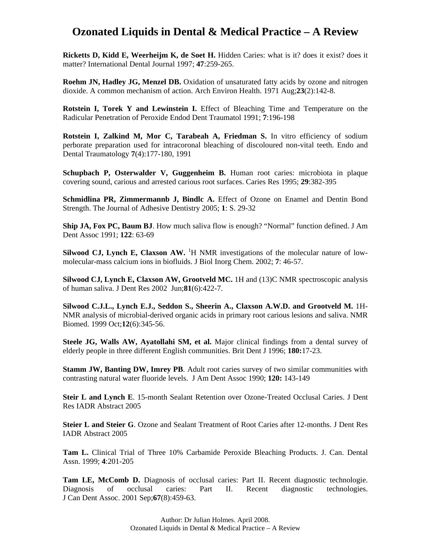**Ricketts D, Kidd E, Weerheijm K, de Soet H.** Hidden Caries: what is it? does it exist? does it matter? International Dental Journal 1997; **47**:259-265.

**Roehm JN, Hadley JG, Menzel DB.** Oxidation of unsaturated fatty acids by ozone and nitrogen dioxide. A common mechanism of action. Arch Environ Health. 1971 Aug;**23**(2):142-8.

**Rotstein I, Torek Y and Lewinstein I.** Effect of Bleaching Time and Temperature on the Radicular Penetration of Peroxide Endod Dent Traumatol 1991; **7**:196-198

**Rotstein I, Zalkind M, Mor C, Tarabeah A, Friedman S.** In vitro efficiency of sodium perborate preparation used for intracoronal bleaching of discoloured non-vital teeth. Endo and Dental Traumatology **7**(4):177-180, 1991

**Schupbach P, Osterwalder V, Guggenheim B.** Human root caries: microbiota in plaque covering sound, carious and arrested carious root surfaces. Caries Res 1995; **29**:382-395

**Schmidlina PR, Zimmermannb J, Bindlc A.** Effect of Ozone on Enamel and Dentin Bond Strength. The Journal of Adhesive Dentistry 2005; **1**: S. 29-32

**Ship JA, Fox PC, Baum BJ**. How much saliva flow is enough? "Normal" function defined. J Am Dent Assoc 1991; **122**: 63-69

Silwood CJ, Lynch E, Claxson AW. <sup>1</sup>H NMR investigations of the molecular nature of lowmolecular-mass calcium ions in biofluids. J Biol Inorg Chem. 2002; **7**: 46-57.

**Silwood CJ, Lynch E, Claxson AW, Grootveld MC.** 1H and (13)C NMR spectroscopic analysis of human saliva. J Dent Res 2002 Jun;**81**(6):422-7.

Silwood C.J.L., Lynch E.J., Seddon S., Sheerin A., Claxson A.W.D. and Grootveld M. 1H-NMR analysis of microbial-derived organic acids in primary root carious lesions and saliva. NMR Biomed. 1999 Oct;**12**(6):345-56.

**Steele JG, Walls AW, Ayatollahi SM, et al.** Major clinical findings from a dental survey of elderly people in three different English communities. Brit Dent J 1996; **180:**17-23.

**Stamm JW, Banting DW, Imrey PB.** Adult root caries survey of two similar communities with contrasting natural water fluoride levels. J Am Dent Assoc 1990; **120:** 143-149

**Steir L and Lynch E**. 15-month Sealant Retention over Ozone-Treated Occlusal Caries. J Dent Res IADR Abstract 2005

**Steier L and Steier G**. Ozone and Sealant Treatment of Root Caries after 12-months. J Dent Res IADR Abstract 2005

**Tam L.** Clinical Trial of Three 10% Carbamide Peroxide Bleaching Products. J. Can. Dental Assn. 1999; **4**:201-205

**Tam LE, McComb D.** Diagnosis of occlusal caries: Part II. Recent diagnostic technologie. Diagnosis of occlusal caries: Part II. Recent diagnostic technologies. J Can Dent Assoc. 2001 Sep;**67**(8):459-63.